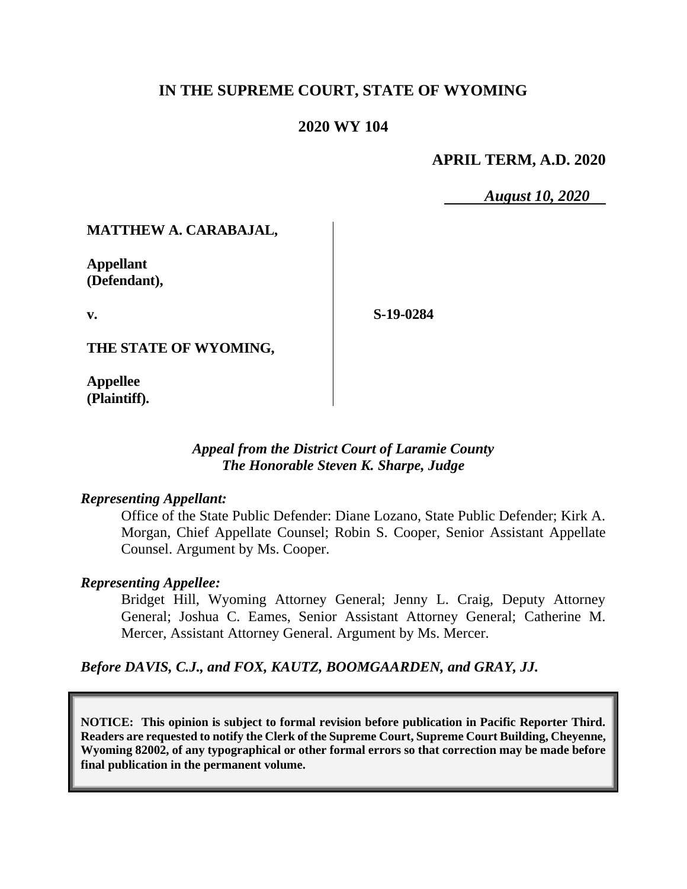## **IN THE SUPREME COURT, STATE OF WYOMING**

### **2020 WY 104**

### **APRIL TERM, A.D. 2020**

*August 10, 2020*

### **MATTHEW A. CARABAJAL,**

**Appellant (Defendant),**

**v.**

**S-19-0284**

**THE STATE OF WYOMING,**

**Appellee (Plaintiff).**

### *Appeal from the District Court of Laramie County The Honorable Steven K. Sharpe, Judge*

#### *Representing Appellant:*

Office of the State Public Defender: Diane Lozano, State Public Defender; Kirk A. Morgan, Chief Appellate Counsel; Robin S. Cooper, Senior Assistant Appellate Counsel. Argument by Ms. Cooper.

### *Representing Appellee:*

Bridget Hill, Wyoming Attorney General; Jenny L. Craig, Deputy Attorney General; Joshua C. Eames, Senior Assistant Attorney General; Catherine M. Mercer, Assistant Attorney General. Argument by Ms. Mercer.

*Before DAVIS, C.J., and FOX, KAUTZ, BOOMGAARDEN, and GRAY, JJ.*

**NOTICE: This opinion is subject to formal revision before publication in Pacific Reporter Third. Readers are requested to notify the Clerk of the Supreme Court, Supreme Court Building, Cheyenne, Wyoming 82002, of any typographical or other formal errors so that correction may be made before final publication in the permanent volume.**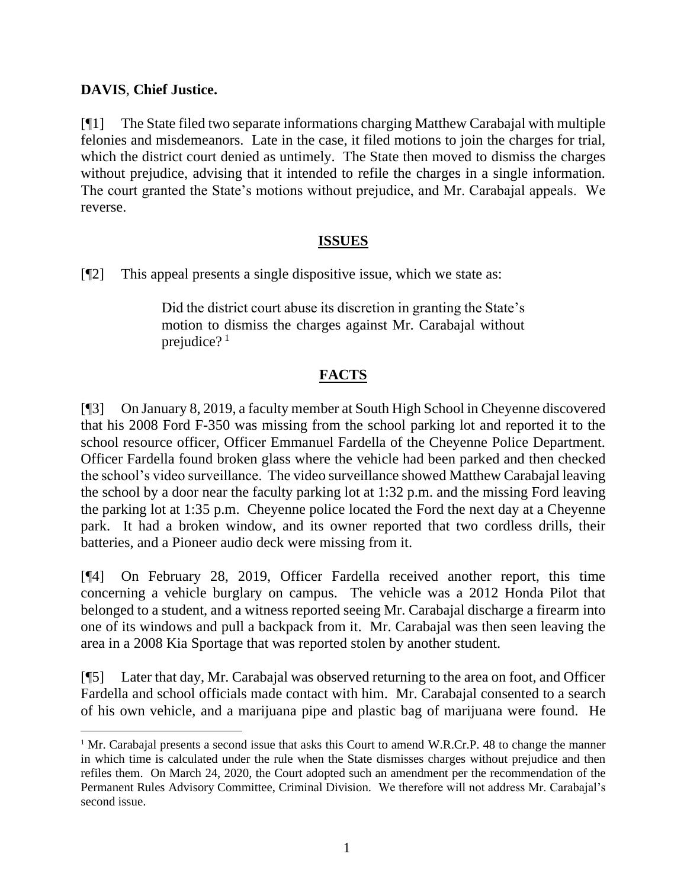## **DAVIS**, **Chief Justice.**

[¶1] The State filed two separate informations charging Matthew Carabajal with multiple felonies and misdemeanors. Late in the case, it filed motions to join the charges for trial, which the district court denied as untimely. The State then moved to dismiss the charges without prejudice, advising that it intended to refile the charges in a single information. The court granted the State's motions without prejudice, and Mr. Carabajal appeals. We reverse.

### **ISSUES**

[¶2] This appeal presents a single dispositive issue, which we state as:

Did the district court abuse its discretion in granting the State's motion to dismiss the charges against Mr. Carabajal without prejudice? $1$ 

# **FACTS**

[¶3] On January 8, 2019, a faculty member at South High School in Cheyenne discovered that his 2008 Ford F-350 was missing from the school parking lot and reported it to the school resource officer, Officer Emmanuel Fardella of the Cheyenne Police Department. Officer Fardella found broken glass where the vehicle had been parked and then checked the school's video surveillance. The video surveillance showed Matthew Carabajal leaving the school by a door near the faculty parking lot at 1:32 p.m. and the missing Ford leaving the parking lot at 1:35 p.m. Cheyenne police located the Ford the next day at a Cheyenne park. It had a broken window, and its owner reported that two cordless drills, their batteries, and a Pioneer audio deck were missing from it.

[¶4] On February 28, 2019, Officer Fardella received another report, this time concerning a vehicle burglary on campus. The vehicle was a 2012 Honda Pilot that belonged to a student, and a witness reported seeing Mr. Carabajal discharge a firearm into one of its windows and pull a backpack from it. Mr. Carabajal was then seen leaving the area in a 2008 Kia Sportage that was reported stolen by another student.

[¶5] Later that day, Mr. Carabajal was observed returning to the area on foot, and Officer Fardella and school officials made contact with him. Mr. Carabajal consented to a search of his own vehicle, and a marijuana pipe and plastic bag of marijuana were found. He

<sup>1</sup> Mr. Carabajal presents a second issue that asks this Court to amend W.R.Cr.P. 48 to change the manner in which time is calculated under the rule when the State dismisses charges without prejudice and then refiles them. On March 24, 2020, the Court adopted such an amendment per the recommendation of the Permanent Rules Advisory Committee, Criminal Division. We therefore will not address Mr. Carabajal's second issue.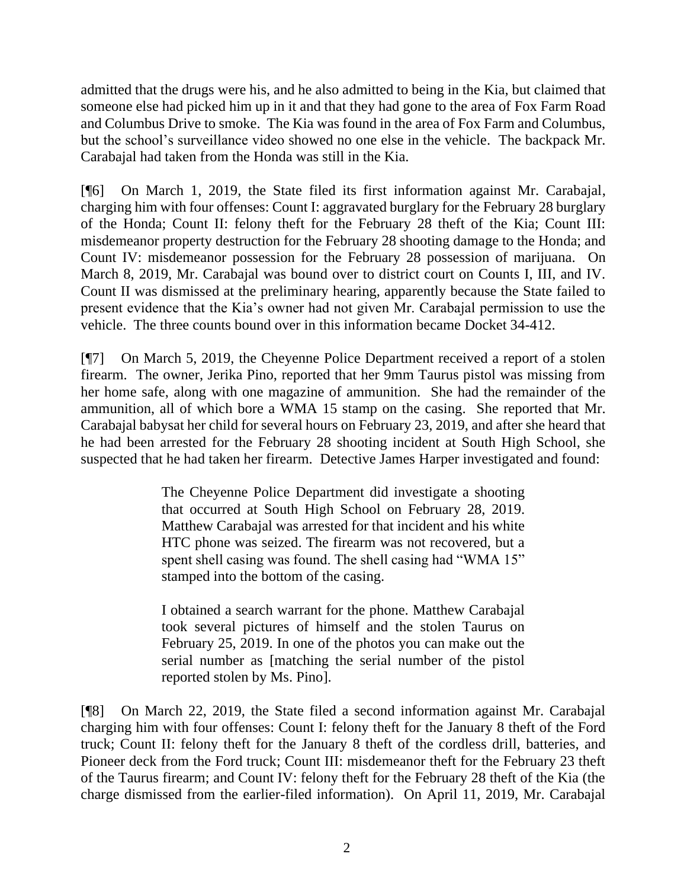admitted that the drugs were his, and he also admitted to being in the Kia, but claimed that someone else had picked him up in it and that they had gone to the area of Fox Farm Road and Columbus Drive to smoke. The Kia was found in the area of Fox Farm and Columbus, but the school's surveillance video showed no one else in the vehicle. The backpack Mr. Carabajal had taken from the Honda was still in the Kia.

[¶6] On March 1, 2019, the State filed its first information against Mr. Carabajal, charging him with four offenses: Count I: aggravated burglary for the February 28 burglary of the Honda; Count II: felony theft for the February 28 theft of the Kia; Count III: misdemeanor property destruction for the February 28 shooting damage to the Honda; and Count IV: misdemeanor possession for the February 28 possession of marijuana. On March 8, 2019, Mr. Carabajal was bound over to district court on Counts I, III, and IV. Count II was dismissed at the preliminary hearing, apparently because the State failed to present evidence that the Kia's owner had not given Mr. Carabajal permission to use the vehicle. The three counts bound over in this information became Docket 34-412.

[¶7] On March 5, 2019, the Cheyenne Police Department received a report of a stolen firearm. The owner, Jerika Pino, reported that her 9mm Taurus pistol was missing from her home safe, along with one magazine of ammunition. She had the remainder of the ammunition, all of which bore a WMA 15 stamp on the casing. She reported that Mr. Carabajal babysat her child for several hours on February 23, 2019, and after she heard that he had been arrested for the February 28 shooting incident at South High School, she suspected that he had taken her firearm. Detective James Harper investigated and found:

> The Cheyenne Police Department did investigate a shooting that occurred at South High School on February 28, 2019. Matthew Carabajal was arrested for that incident and his white HTC phone was seized. The firearm was not recovered, but a spent shell casing was found. The shell casing had "WMA 15" stamped into the bottom of the casing.

> I obtained a search warrant for the phone. Matthew Carabajal took several pictures of himself and the stolen Taurus on February 25, 2019. In one of the photos you can make out the serial number as [matching the serial number of the pistol reported stolen by Ms. Pino].

[¶8] On March 22, 2019, the State filed a second information against Mr. Carabajal charging him with four offenses: Count I: felony theft for the January 8 theft of the Ford truck; Count II: felony theft for the January 8 theft of the cordless drill, batteries, and Pioneer deck from the Ford truck; Count III: misdemeanor theft for the February 23 theft of the Taurus firearm; and Count IV: felony theft for the February 28 theft of the Kia (the charge dismissed from the earlier-filed information). On April 11, 2019, Mr. Carabajal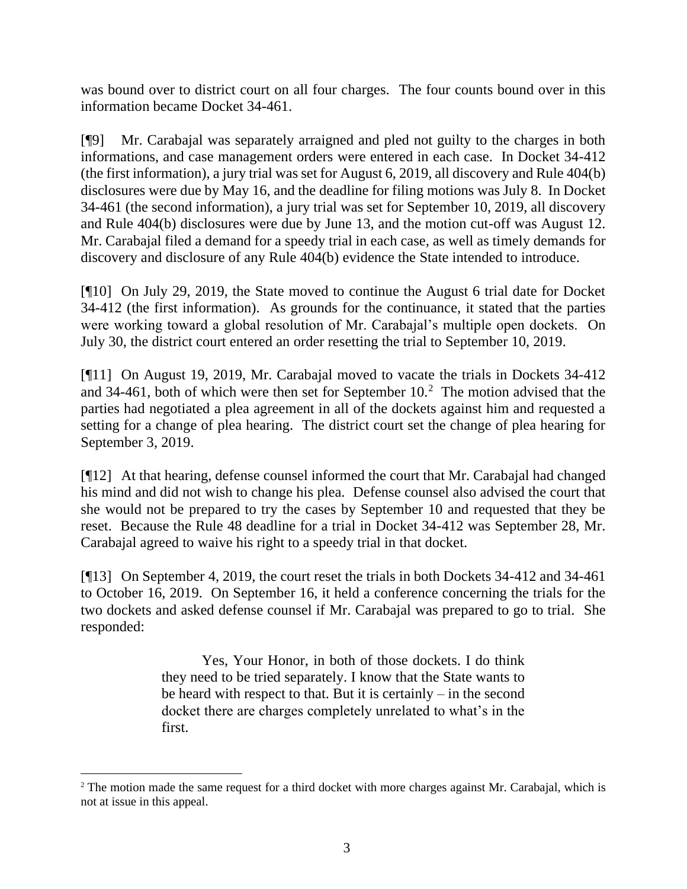was bound over to district court on all four charges. The four counts bound over in this information became Docket 34-461.

[¶9] Mr. Carabajal was separately arraigned and pled not guilty to the charges in both informations, and case management orders were entered in each case. In Docket 34-412 (the first information), a jury trial was set for August 6, 2019, all discovery and Rule 404(b) disclosures were due by May 16, and the deadline for filing motions was July 8. In Docket 34-461 (the second information), a jury trial was set for September 10, 2019, all discovery and Rule 404(b) disclosures were due by June 13, and the motion cut-off was August 12. Mr. Carabajal filed a demand for a speedy trial in each case, as well as timely demands for discovery and disclosure of any Rule 404(b) evidence the State intended to introduce.

[¶10] On July 29, 2019, the State moved to continue the August 6 trial date for Docket 34-412 (the first information). As grounds for the continuance, it stated that the parties were working toward a global resolution of Mr. Carabajal's multiple open dockets. On July 30, the district court entered an order resetting the trial to September 10, 2019.

[¶11] On August 19, 2019, Mr. Carabajal moved to vacate the trials in Dockets 34-412 and 34-461, both of which were then set for September 10.<sup>2</sup> The motion advised that the parties had negotiated a plea agreement in all of the dockets against him and requested a setting for a change of plea hearing. The district court set the change of plea hearing for September 3, 2019.

[¶12] At that hearing, defense counsel informed the court that Mr. Carabajal had changed his mind and did not wish to change his plea. Defense counsel also advised the court that she would not be prepared to try the cases by September 10 and requested that they be reset. Because the Rule 48 deadline for a trial in Docket 34-412 was September 28, Mr. Carabajal agreed to waive his right to a speedy trial in that docket.

[¶13] On September 4, 2019, the court reset the trials in both Dockets 34-412 and 34-461 to October 16, 2019. On September 16, it held a conference concerning the trials for the two dockets and asked defense counsel if Mr. Carabajal was prepared to go to trial. She responded:

> Yes, Your Honor, in both of those dockets. I do think they need to be tried separately. I know that the State wants to be heard with respect to that. But it is certainly – in the second docket there are charges completely unrelated to what's in the first.

<sup>&</sup>lt;sup>2</sup> The motion made the same request for a third docket with more charges against Mr. Carabajal, which is not at issue in this appeal.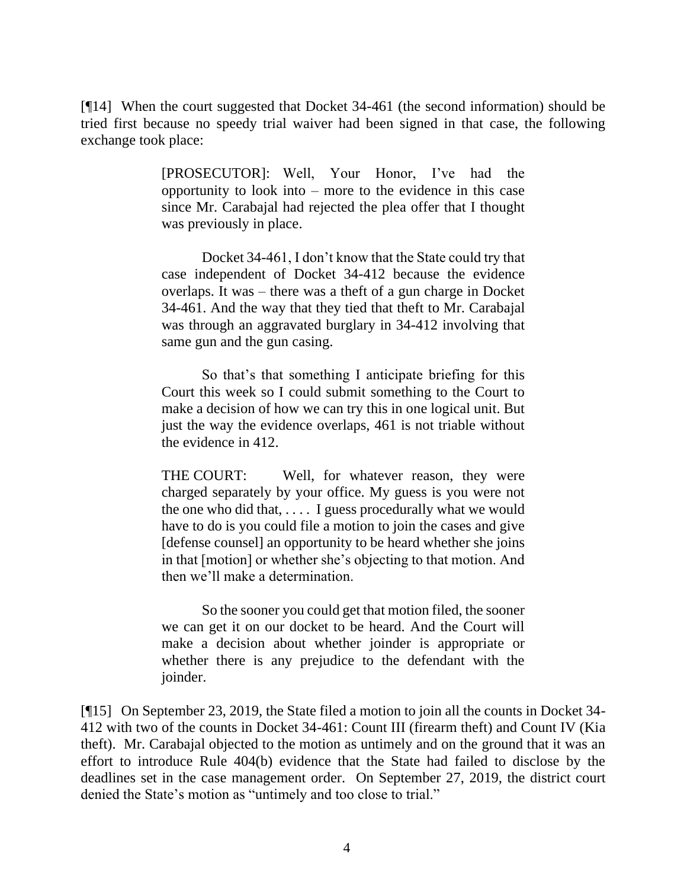[¶14] When the court suggested that Docket 34-461 (the second information) should be tried first because no speedy trial waiver had been signed in that case, the following exchange took place:

> [PROSECUTOR]: Well, Your Honor, I've had the opportunity to look into – more to the evidence in this case since Mr. Carabajal had rejected the plea offer that I thought was previously in place.

> Docket 34-461, I don't know that the State could try that case independent of Docket 34-412 because the evidence overlaps. It was – there was a theft of a gun charge in Docket 34-461. And the way that they tied that theft to Mr. Carabajal was through an aggravated burglary in 34-412 involving that same gun and the gun casing.

> So that's that something I anticipate briefing for this Court this week so I could submit something to the Court to make a decision of how we can try this in one logical unit. But just the way the evidence overlaps, 461 is not triable without the evidence in 412.

> THE COURT: Well, for whatever reason, they were charged separately by your office. My guess is you were not the one who did that, . . . . I guess procedurally what we would have to do is you could file a motion to join the cases and give [defense counsel] an opportunity to be heard whether she joins in that [motion] or whether she's objecting to that motion. And then we'll make a determination.

> So the sooner you could get that motion filed, the sooner we can get it on our docket to be heard. And the Court will make a decision about whether joinder is appropriate or whether there is any prejudice to the defendant with the joinder.

[¶15] On September 23, 2019, the State filed a motion to join all the counts in Docket 34- 412 with two of the counts in Docket 34-461: Count III (firearm theft) and Count IV (Kia theft). Mr. Carabajal objected to the motion as untimely and on the ground that it was an effort to introduce Rule 404(b) evidence that the State had failed to disclose by the deadlines set in the case management order. On September 27, 2019, the district court denied the State's motion as "untimely and too close to trial."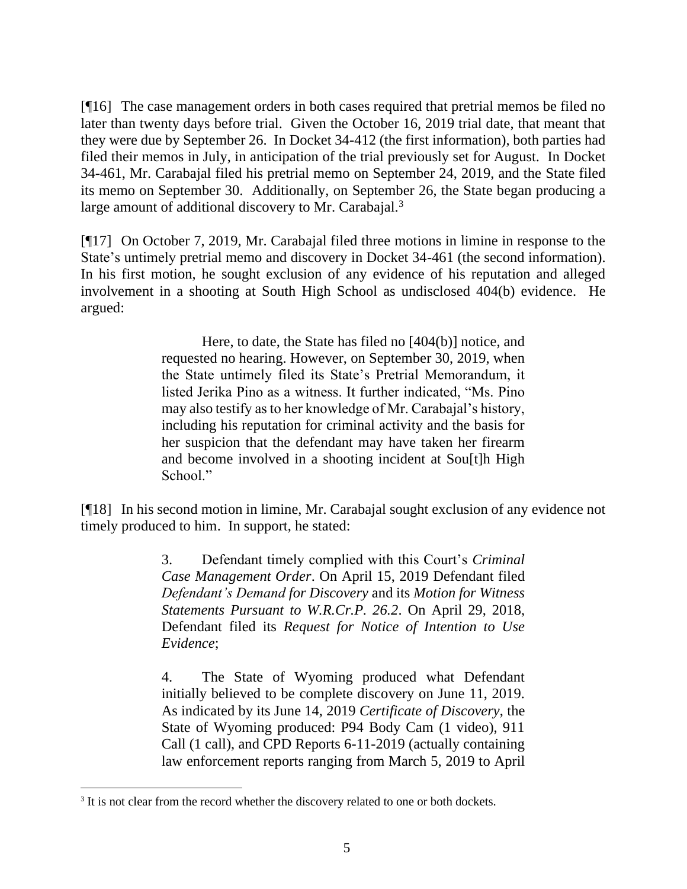[¶16] The case management orders in both cases required that pretrial memos be filed no later than twenty days before trial. Given the October 16, 2019 trial date, that meant that they were due by September 26. In Docket 34-412 (the first information), both parties had filed their memos in July, in anticipation of the trial previously set for August. In Docket 34-461, Mr. Carabajal filed his pretrial memo on September 24, 2019, and the State filed its memo on September 30. Additionally, on September 26, the State began producing a large amount of additional discovery to Mr. Carabajal.<sup>3</sup>

[¶17] On October 7, 2019, Mr. Carabajal filed three motions in limine in response to the State's untimely pretrial memo and discovery in Docket 34-461 (the second information). In his first motion, he sought exclusion of any evidence of his reputation and alleged involvement in a shooting at South High School as undisclosed 404(b) evidence. He argued:

> Here, to date, the State has filed no [404(b)] notice, and requested no hearing. However, on September 30, 2019, when the State untimely filed its State's Pretrial Memorandum, it listed Jerika Pino as a witness. It further indicated, "Ms. Pino may also testify as to her knowledge of Mr. Carabajal's history, including his reputation for criminal activity and the basis for her suspicion that the defendant may have taken her firearm and become involved in a shooting incident at Sou[t]h High School."

[¶18] In his second motion in limine, Mr. Carabajal sought exclusion of any evidence not timely produced to him. In support, he stated:

> 3. Defendant timely complied with this Court's *Criminal Case Management Order*. On April 15, 2019 Defendant filed *Defendant's Demand for Discovery* and its *Motion for Witness Statements Pursuant to W.R.Cr.P. 26.2*. On April 29, 2018, Defendant filed its *Request for Notice of Intention to Use Evidence*;

> 4. The State of Wyoming produced what Defendant initially believed to be complete discovery on June 11, 2019. As indicated by its June 14, 2019 *Certificate of Discovery*, the State of Wyoming produced: P94 Body Cam (1 video), 911 Call (1 call), and CPD Reports 6-11-2019 (actually containing law enforcement reports ranging from March 5, 2019 to April

<sup>&</sup>lt;sup>3</sup> It is not clear from the record whether the discovery related to one or both dockets.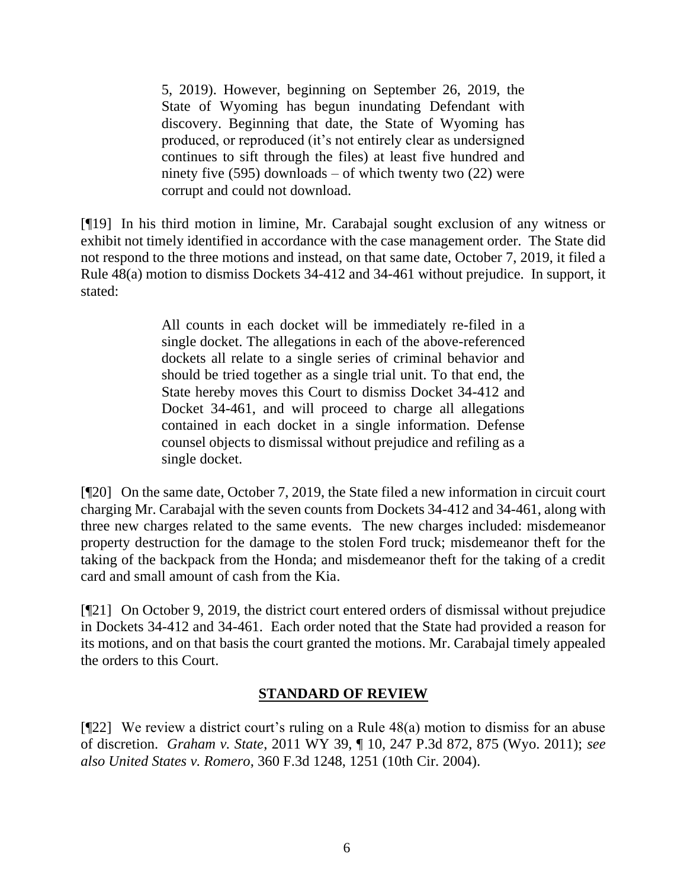5, 2019). However, beginning on September 26, 2019, the State of Wyoming has begun inundating Defendant with discovery. Beginning that date, the State of Wyoming has produced, or reproduced (it's not entirely clear as undersigned continues to sift through the files) at least five hundred and ninety five  $(595)$  downloads – of which twenty two  $(22)$  were corrupt and could not download.

[¶19] In his third motion in limine, Mr. Carabajal sought exclusion of any witness or exhibit not timely identified in accordance with the case management order. The State did not respond to the three motions and instead, on that same date, October 7, 2019, it filed a Rule 48(a) motion to dismiss Dockets 34-412 and 34-461 without prejudice. In support, it stated:

> All counts in each docket will be immediately re-filed in a single docket. The allegations in each of the above-referenced dockets all relate to a single series of criminal behavior and should be tried together as a single trial unit. To that end, the State hereby moves this Court to dismiss Docket 34-412 and Docket 34-461, and will proceed to charge all allegations contained in each docket in a single information. Defense counsel objects to dismissal without prejudice and refiling as a single docket.

[¶20] On the same date, October 7, 2019, the State filed a new information in circuit court charging Mr. Carabajal with the seven counts from Dockets 34-412 and 34-461, along with three new charges related to the same events. The new charges included: misdemeanor property destruction for the damage to the stolen Ford truck; misdemeanor theft for the taking of the backpack from the Honda; and misdemeanor theft for the taking of a credit card and small amount of cash from the Kia.

[¶21] On October 9, 2019, the district court entered orders of dismissal without prejudice in Dockets 34-412 and 34-461. Each order noted that the State had provided a reason for its motions, and on that basis the court granted the motions. Mr. Carabajal timely appealed the orders to this Court.

# **STANDARD OF REVIEW**

[¶22] We review a district court's ruling on a Rule 48(a) motion to dismiss for an abuse of discretion. *Graham v. State*, 2011 WY 39, ¶ 10, 247 P.3d 872, 875 (Wyo. 2011); *see also United States v. Romero*, 360 F.3d 1248, 1251 (10th Cir. 2004).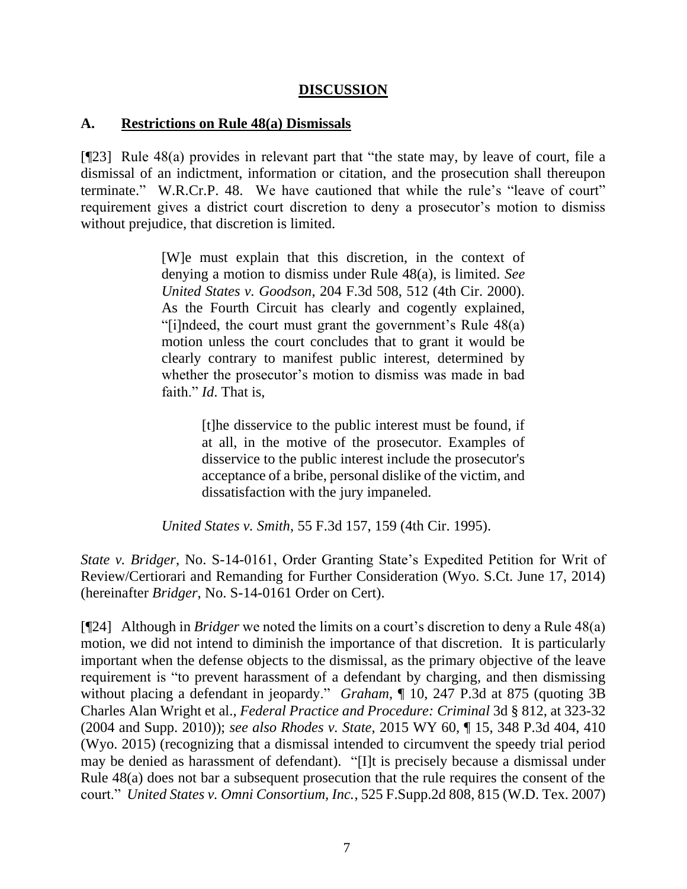### **DISCUSSION**

### **A. Restrictions on Rule 48(a) Dismissals**

[¶23] Rule 48(a) provides in relevant part that "the state may, by leave of court, file a dismissal of an indictment, information or citation, and the prosecution shall thereupon terminate." W.R.Cr.P. 48. We have cautioned that while the rule's "leave of court" requirement gives a district court discretion to deny a prosecutor's motion to dismiss without prejudice, that discretion is limited.

> [W]e must explain that this discretion, in the context of denying a motion to dismiss under Rule 48(a), is limited*. See United States v. Goodson*, 204 F.3d 508, 512 (4th Cir. 2000). As the Fourth Circuit has clearly and cogently explained, "[i]ndeed, the court must grant the government's Rule 48(a) motion unless the court concludes that to grant it would be clearly contrary to manifest public interest, determined by whether the prosecutor's motion to dismiss was made in bad faith." *Id*. That is,

> > [t]he disservice to the public interest must be found, if at all, in the motive of the prosecutor. Examples of disservice to the public interest include the prosecutor's acceptance of a bribe, personal dislike of the victim, and dissatisfaction with the jury impaneled.

*United States v. Smith*, 55 F.3d 157, 159 (4th Cir. 1995).

*State v. Bridger*, No. S-14-0161, Order Granting State's Expedited Petition for Writ of Review/Certiorari and Remanding for Further Consideration (Wyo. S.Ct. June 17, 2014) (hereinafter *Bridger*, No. S-14-0161 Order on Cert).

[¶24] Although in *Bridger* we noted the limits on a court's discretion to deny a Rule 48(a) motion, we did not intend to diminish the importance of that discretion. It is particularly important when the defense objects to the dismissal, as the primary objective of the leave requirement is "to prevent harassment of a defendant by charging, and then dismissing without placing a defendant in jeopardy." *Graham*, ¶ 10, 247 P.3d at 875 (quoting 3B Charles Alan Wright et al., *Federal Practice and Procedure: Criminal* 3d § 812, at 323-32 (2004 and Supp. 2010)); *see also Rhodes v. State*, 2015 WY 60, ¶ 15, 348 P.3d 404, 410 (Wyo. 2015) (recognizing that a dismissal intended to circumvent the speedy trial period may be denied as harassment of defendant). "[I]t is precisely because a dismissal under [Rule 48\(a\)](http://www.westlaw.com/Link/Document/FullText?findType=L&pubNum=1004365&cite=USFRCRPR48&originatingDoc=I202e35e5a2b211dcb6a3a099756c05b7&refType=LQ&originationContext=document&vr=3.0&rs=cblt1.0&transitionType=DocumentItem&contextData=(sc.Keycite)) does not bar a subsequent prosecution that the rule requires the consent of the court." *United States v. Omni Consortium, Inc.*, 525 F.Supp.2d 808, 815 (W.D. Tex. 2007)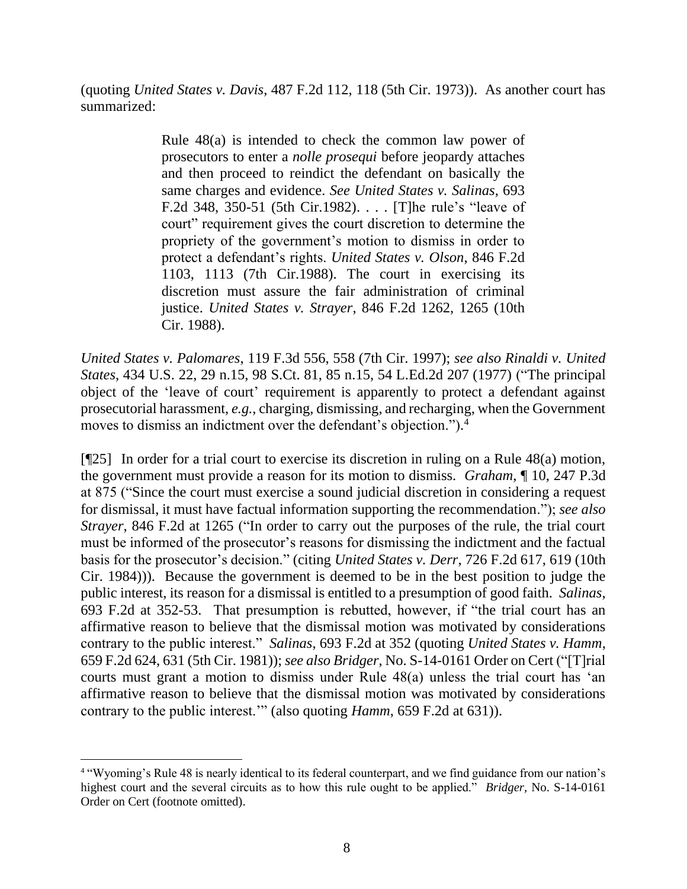(quoting *United States v. Davis*, 487 F.2d 112, 118 (5th Cir. 1973)). As another court has summarized:

> [Rule 48\(a\)](http://www.westlaw.com/Link/Document/FullText?findType=L&pubNum=1000598&cite=USFRCRPR48&originatingDoc=I99f02d7a942711d993e6d35cc61aab4a&refType=RB&originationContext=document&vr=3.0&rs=cblt1.0&transitionType=DocumentItem&contextData=(sc.Keycite)#co_pp_8b3b0000958a4) is intended to check the common law power of prosecutors to enter a *nolle prosequi* before jeopardy attaches and then proceed to reindict the defendant on basically the same charges and evidence. *See United States v. Salinas*, 693 F.2d 348, 350-51 (5th Cir.1982). . . . [T]he rule's "leave of court" requirement gives the court discretion to determine the propriety of the government's motion to dismiss in order to protect a defendant's rights. *United States v. Olson*, 846 F.2d 1103, 1113 (7th Cir.1988). The court in exercising its discretion must assure the fair administration of criminal justice. *United States v. Strayer*, 846 F.2d 1262, 1265 (10th Cir. 1988).

*United States v. Palomares*, 119 F.3d 556, 558 (7th Cir. 1997); *see also Rinaldi v. United States*, 434 U.S. 22, 29 n.15, 98 S.Ct. 81, 85 n.15, 54 L.Ed.2d 207 (1977) ("The principal object of the 'leave of court' requirement is apparently to protect a defendant against prosecutorial harassment, *e.g.*, charging, dismissing, and recharging, when the Government moves to dismiss an indictment over the defendant's objection."). 4

[¶25] In order for a trial court to exercise its discretion in ruling on a Rule 48(a) motion, the government must provide a reason for its motion to dismiss. *Graham*, ¶ 10, 247 P.3d at 875 ("Since the court must exercise a sound judicial discretion in considering a request for dismissal, it must have factual information supporting the recommendation."); *see also Strayer*, 846 F.2d at 1265 ("In order to carry out the purposes of the rule, the trial court must be informed of the prosecutor's reasons for dismissing the indictment and the factual basis for the prosecutor's decision." (citing *United States v. Derr*[, 726 F.2d 617, 619 \(10th](http://www.westlaw.com/Link/Document/FullText?findType=Y&serNum=1984104640&pubNum=0000350&originatingDoc=I9e373892957d11d993e6d35cc61aab4a&refType=RP&fi=co_pp_sp_350_619&originationContext=document&vr=3.0&rs=cblt1.0&transitionType=DocumentItem&contextData=(sc.UserEnteredCitation)#co_pp_sp_350_619)  Cir. [1984\)\)](http://www.westlaw.com/Link/Document/FullText?findType=Y&serNum=1984104640&pubNum=0000350&originatingDoc=I9e373892957d11d993e6d35cc61aab4a&refType=RP&fi=co_pp_sp_350_619&originationContext=document&vr=3.0&rs=cblt1.0&transitionType=DocumentItem&contextData=(sc.UserEnteredCitation)#co_pp_sp_350_619)). Because the government is deemed to be in the best position to judge the public interest, its reason for a dismissal is entitled to a presumption of good faith. *Salinas*, 693 F.2d at 352-53. That presumption is rebutted, however, if "the trial court has an affirmative reason to believe that the dismissal motion was motivated by considerations contrary to the public interest." *Salinas*, 693 F.2d at 352 (quoting *United States v. Hamm*, 659 F.2d 624, 631 (5th Cir. 1981)); *see also Bridger*, No. S-14-0161 Order on Cert ("[T]rial courts must grant a motion to dismiss under Rule 48(a) unless the trial court has 'an affirmative reason to believe that the dismissal motion was motivated by considerations contrary to the public interest.'" (also quoting *Hamm*, 659 F.2d at 631)).

<sup>4</sup> "Wyoming's Rule 48 is nearly identical to its federal counterpart, and we find guidance from our nation's highest court and the several circuits as to how this rule ought to be applied." *Bridger*, No. S-14-0161 Order on Cert (footnote omitted).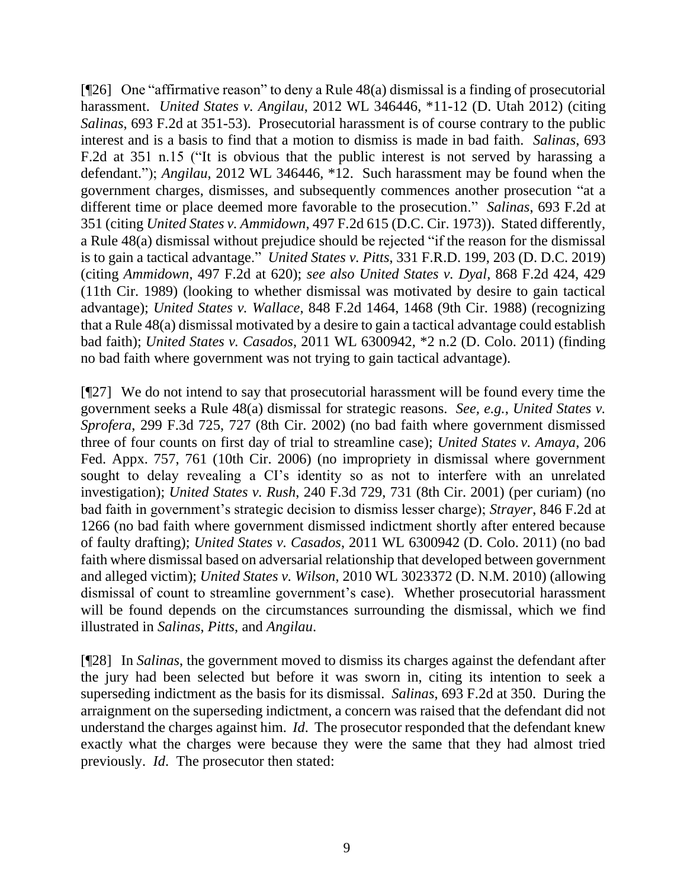[¶26] One "affirmative reason" to deny a Rule 48(a) dismissal is a finding of prosecutorial harassment. *United States v. Angilau*, 2012 WL 346446, \*11-12 (D. Utah 2012) (citing *Salinas*[, 693 F.2d at 351](http://www.westlaw.com/Link/Document/FullText?findType=Y&serNum=1982150495&pubNum=0000350&originatingDoc=I411e6e42507311e1968efb95426dbe9c&refType=RP&fi=co_pp_sp_350_352&originationContext=document&vr=3.0&rs=cblt1.0&transitionType=DocumentItem&contextData=(sc.UserEnteredCitation)#co_pp_sp_350_352)-53). Prosecutorial harassment is of course contrary to the public interest and is a basis to find that a motion to dismiss is made in bad faith. *Salinas*, 693 F.2d at 351 n.15 ("It is obvious that the public interest is not served by harassing a defendant."); *Angilau*, 2012 WL 346446, \*12. Such harassment may be found when the government charges, dismisses, and subsequently commences another prosecution "at a different time or place deemed more favorable to the prosecution." *Salinas*, 693 F.2d at 351 (citing *United States v. Ammidown*, 497 F.2d 615 (D.C. Cir. 1973)). Stated differently, a Rule 48(a) dismissal without prejudice should be rejected "if the reason for the dismissal is to gain a tactical advantage." *United States v. Pitts*, 331 F.R.D. 199, 203 (D. D.C. 2019) (citing *Ammidown*, 497 F.2d at 620); *see also United States v. Dyal*, 868 F.2d 424, 429 (11th Cir. 1989) (looking to whether dismissal was motivated by desire to gain tactical advantage); *United States v. Wallace*, 848 F.2d 1464, 1468 (9th Cir. 1988) (recognizing that a Rule 48(a) dismissal motivated by a desire to gain a tactical advantage could establish bad faith); *United States v. Casados*, 2011 WL 6300942, \*2 n.2 (D. Colo. 2011) (finding no bad faith where government was not trying to gain tactical advantage).

[¶27] We do not intend to say that prosecutorial harassment will be found every time the government seeks a Rule 48(a) dismissal for strategic reasons. *See, e.g.*, *United States v. Sprofera*, 299 F.3d 725, 727 (8th Cir. 2002) (no bad faith where government dismissed three of four counts on first day of trial to streamline case); *United States v. Amaya*, 206 Fed. Appx. 757, 761 (10th Cir. 2006) (no impropriety in dismissal where government sought to delay revealing a CI's identity so as not to interfere with an unrelated investigation); *United States v. Rush*, 240 F.3d 729, 731 (8th Cir. 2001) (per curiam) (no bad faith in government's strategic decision to dismiss lesser charge); *Strayer*, 846 F.2d at 1266 (no bad faith where government dismissed indictment shortly after entered because of faulty drafting); *United States v. Casados*, 2011 WL 6300942 (D. Colo. 2011) (no bad faith where dismissal based on adversarial relationship that developed between government and alleged victim); *United States v. Wilson*, 2010 WL 3023372 (D. N.M. 2010) (allowing dismissal of count to streamline government's case). Whether prosecutorial harassment will be found depends on the circumstances surrounding the dismissal, which we find illustrated in *Salinas*, *Pitts*, and *Angilau*.

[¶28] In *Salinas*, the government moved to dismiss its charges against the defendant after the jury had been selected but before it was sworn in, citing its intention to seek a superseding indictment as the basis for its dismissal. *Salinas*, 693 F.2d at 350. During the arraignment on the superseding indictment, a concern was raised that the defendant did not understand the charges against him. *Id*. The prosecutor responded that the defendant knew exactly what the charges were because they were the same that they had almost tried previously. *Id*. The prosecutor then stated: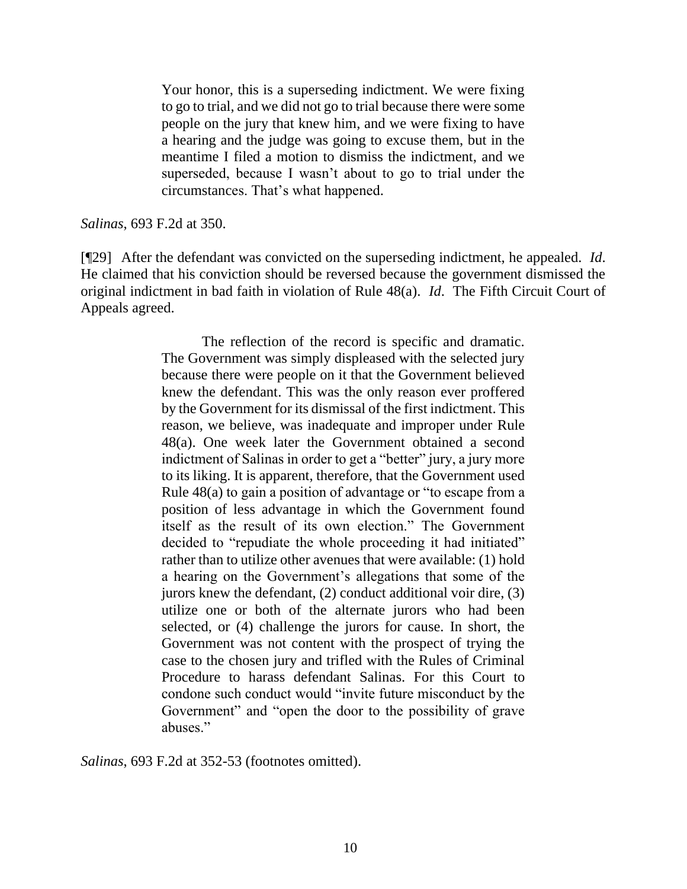Your honor, this is a superseding indictment. We were fixing to go to trial, and we did not go to trial because there were some people on the jury that knew him, and we were fixing to have a hearing and the judge was going to excuse them, but in the meantime I filed a motion to dismiss the indictment, and we superseded, because I wasn't about to go to trial under the circumstances. That's what happened.

#### *Salinas*, 693 F.2d at 350.

[¶29] After the defendant was convicted on the superseding indictment, he appealed. *Id*. He claimed that his conviction should be reversed because the government dismissed the original indictment in bad faith in violation of Rule 48(a). *Id*. The Fifth Circuit Court of Appeals agreed.

> The reflection of the record is specific and dramatic. The Government was simply displeased with the selected jury because there were people on it that the Government believed knew the defendant. This was the only reason ever proffered by the Government for its dismissal of the first indictment. This reason, we believe, was inadequate and improper under [Rule](http://www.westlaw.com/Link/Document/FullText?findType=L&pubNum=1004365&cite=USFRCRPR48&originatingDoc=I6cb47cd8931e11d9bdd1cfdd544ca3a4&refType=LQ&originationContext=document&vr=3.0&rs=cblt1.0&transitionType=DocumentItem&contextData=(sc.Document))  [48\(a\).](http://www.westlaw.com/Link/Document/FullText?findType=L&pubNum=1004365&cite=USFRCRPR48&originatingDoc=I6cb47cd8931e11d9bdd1cfdd544ca3a4&refType=LQ&originationContext=document&vr=3.0&rs=cblt1.0&transitionType=DocumentItem&contextData=(sc.Document)) One week later the Government obtained a second indictment of Salinas in order to get a "better" jury, a jury more to its liking. It is apparent, therefore, that the Government used [Rule 48\(a\)](http://www.westlaw.com/Link/Document/FullText?findType=L&pubNum=1004365&cite=USFRCRPR48&originatingDoc=I6cb47cd8931e11d9bdd1cfdd544ca3a4&refType=LQ&originationContext=document&vr=3.0&rs=cblt1.0&transitionType=DocumentItem&contextData=(sc.Document)) to gain a position of advantage or "to escape from a position of less advantage in which the Government found itself as the result of its own election." The Government decided to "repudiate the whole proceeding it had initiated" rather than to utilize other avenues that were available: (1) hold a hearing on the Government's allegations that some of the jurors knew the defendant, (2) conduct additional voir dire, (3) utilize one or both of the alternate jurors who had been selected, or (4) challenge the jurors for cause. In short, the Government was not content with the prospect of trying the case to the chosen jury and trifled with the Rules of Criminal Procedure to harass defendant Salinas. For this Court to condone such conduct would "invite future misconduct by the Government" and "open the door to the possibility of grave abuses."

*Salinas*, 693 F.2d at 352-53 (footnotes omitted).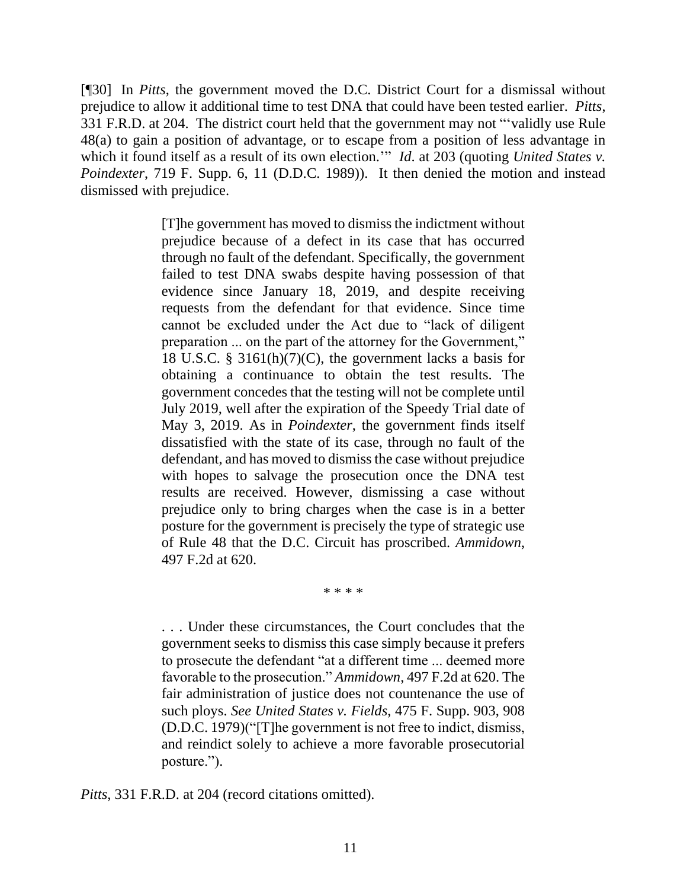[¶30] In *Pitts*, the government moved the D.C. District Court for a dismissal without prejudice to allow it additional time to test DNA that could have been tested earlier. *Pitts*, 331 F.R.D. at 204. The district court held that the government may not "'validly use [Rule](http://www.westlaw.com/Link/Document/FullText?findType=L&pubNum=1000598&cite=USFRCRPR48&originatingDoc=Ia5a9f72076d211e98eaef725d418138a&refType=LQ&originationContext=document&vr=3.0&rs=cblt1.0&transitionType=DocumentItem&contextData=(sc.Keycite))  [48\(a\)](http://www.westlaw.com/Link/Document/FullText?findType=L&pubNum=1000598&cite=USFRCRPR48&originatingDoc=Ia5a9f72076d211e98eaef725d418138a&refType=LQ&originationContext=document&vr=3.0&rs=cblt1.0&transitionType=DocumentItem&contextData=(sc.Keycite)) to gain a position of advantage, or to escape from a position of less advantage in which it found itself as a result of its own election." *Id.* at 203 (quoting *United States v. Poindexter*[, 719 F. Supp. 6, 11](http://www.westlaw.com/Link/Document/FullText?findType=Y&serNum=1989112620&pubNum=0000345&originatingDoc=Ia5a9f72076d211e98eaef725d418138a&refType=RP&fi=co_pp_sp_345_10&originationContext=document&vr=3.0&rs=cblt1.0&transitionType=DocumentItem&contextData=(sc.Keycite)#co_pp_sp_345_10) (D.D.C. 1989)). It then denied the motion and instead dismissed with prejudice.

> [T]he government has moved to dismiss the indictment without prejudice because of a defect in its case that has occurred through no fault of the defendant. Specifically, the government failed to test DNA swabs despite having possession of that evidence since January 18, 2019, and despite receiving requests from the defendant for that evidence. Since time cannot be excluded under the Act due to "lack of diligent preparation ... on the part of the attorney for the Government," [18 U.S.C. § 3161\(h\)\(7\)\(C\),](http://www.westlaw.com/Link/Document/FullText?findType=L&pubNum=1000546&cite=18USCAS3161&originatingDoc=Ia5a9f72076d211e98eaef725d418138a&refType=RB&originationContext=document&vr=3.0&rs=cblt1.0&transitionType=DocumentItem&contextData=(sc.Keycite)#co_pp_f5de00000da05) the government lacks a basis for obtaining a continuance to obtain the test results. The government concedes that the testing will not be complete until July 2019, well after the expiration of the Speedy Trial date of May 3, 2019. As in *[Poindexter](http://www.westlaw.com/Link/Document/FullText?findType=Y&serNum=1989112620&pubNum=0000345&originatingDoc=Ia5a9f72076d211e98eaef725d418138a&refType=RP&originationContext=document&vr=3.0&rs=cblt1.0&transitionType=DocumentItem&contextData=(sc.Keycite))*, the government finds itself dissatisfied with the state of its case, through no fault of the defendant, and has moved to dismiss the case without prejudice with hopes to salvage the prosecution once the DNA test results are received. However, dismissing a case without prejudice only to bring charges when the case is in a better posture for the government is precisely the type of strategic use of [Rule 48](http://www.westlaw.com/Link/Document/FullText?findType=L&pubNum=1000598&cite=USFRCRPR48&originatingDoc=Ia5a9f72076d211e98eaef725d418138a&refType=LQ&originationContext=document&vr=3.0&rs=cblt1.0&transitionType=DocumentItem&contextData=(sc.Keycite)) that the D.C. Circuit has proscribed. *[Ammidown](http://www.westlaw.com/Link/Document/FullText?findType=Y&serNum=1974110711&pubNum=0000350&originatingDoc=Ia5a9f72076d211e98eaef725d418138a&refType=RP&fi=co_pp_sp_350_620&originationContext=document&vr=3.0&rs=cblt1.0&transitionType=DocumentItem&contextData=(sc.Keycite)#co_pp_sp_350_620)*, [497 F.2d at 620.](http://www.westlaw.com/Link/Document/FullText?findType=Y&serNum=1974110711&pubNum=0000350&originatingDoc=Ia5a9f72076d211e98eaef725d418138a&refType=RP&fi=co_pp_sp_350_620&originationContext=document&vr=3.0&rs=cblt1.0&transitionType=DocumentItem&contextData=(sc.Keycite)#co_pp_sp_350_620)

> > \* \* \* \*

. . . Under these circumstances, the Court concludes that the government seeks to dismiss this case simply because it prefers to prosecute the defendant "at a different time ... deemed more favorable to the prosecution." *Ammidown*[, 497 F.2d at 620.](http://www.westlaw.com/Link/Document/FullText?findType=Y&serNum=1974110711&pubNum=0000350&originatingDoc=Ia5a9f72076d211e98eaef725d418138a&refType=RP&fi=co_pp_sp_350_620&originationContext=document&vr=3.0&rs=cblt1.0&transitionType=DocumentItem&contextData=(sc.Keycite)#co_pp_sp_350_620) The fair administration of justice does not countenance the use of such ploys. *See United States v. Fields*[, 475 F. Supp. 903, 908](http://www.westlaw.com/Link/Document/FullText?findType=Y&serNum=1979117035&pubNum=0000345&originatingDoc=Ia5a9f72076d211e98eaef725d418138a&refType=RP&fi=co_pp_sp_345_908&originationContext=document&vr=3.0&rs=cblt1.0&transitionType=DocumentItem&contextData=(sc.Keycite)#co_pp_sp_345_908)  [\(D.D.C. 1979\)\(](http://www.westlaw.com/Link/Document/FullText?findType=Y&serNum=1979117035&pubNum=0000345&originatingDoc=Ia5a9f72076d211e98eaef725d418138a&refType=RP&fi=co_pp_sp_345_908&originationContext=document&vr=3.0&rs=cblt1.0&transitionType=DocumentItem&contextData=(sc.Keycite)#co_pp_sp_345_908)"[T]he government is not free to indict, dismiss, and reindict solely to achieve a more favorable prosecutorial posture.").

*Pitts*, 331 F.R.D. at 204 (record citations omitted).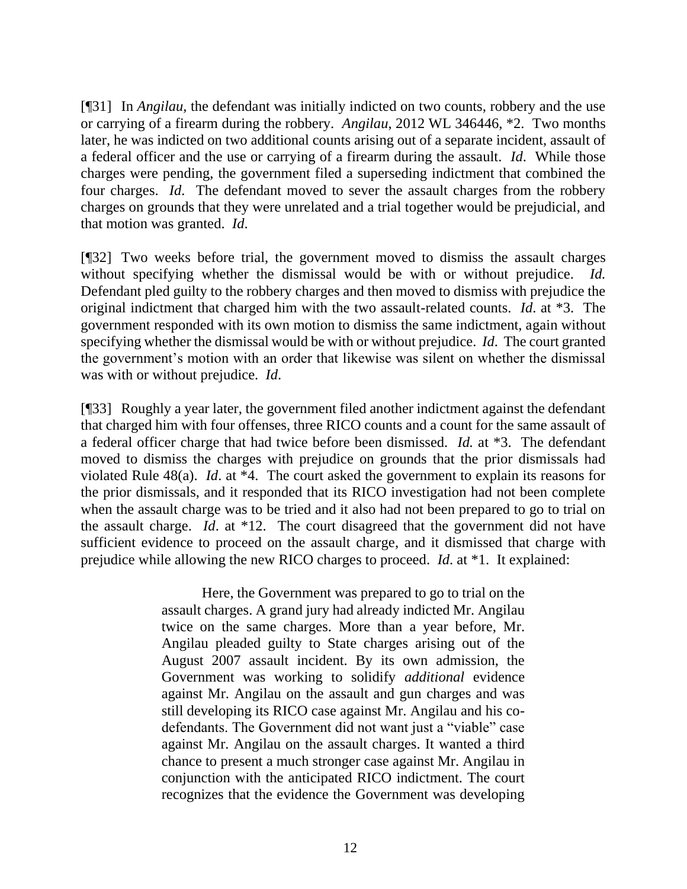[¶31] In *Angilau*, the defendant was initially indicted on two counts, robbery and the use or carrying of a firearm during the robbery. *Angilau*, 2012 WL 346446, \*2. Two months later, he was indicted on two additional counts arising out of a separate incident, assault of a federal officer and the use or carrying of a firearm during the assault. *Id*. While those charges were pending, the government filed a superseding indictment that combined the four charges. *Id*. The defendant moved to sever the assault charges from the robbery charges on grounds that they were unrelated and a trial together would be prejudicial, and that motion was granted. *Id*.

[¶32] Two weeks before trial, the government moved to dismiss the assault charges without specifying whether the dismissal would be with or without prejudice. *Id.* Defendant pled guilty to the robbery charges and then moved to dismiss with prejudice the original indictment that charged him with the two assault-related counts. *Id*. at \*3. The government responded with its own motion to dismiss the same indictment, again without specifying whether the dismissal would be with or without prejudice. *Id*. The court granted the government's motion with an order that likewise was silent on whether the dismissal was with or without prejudice. *Id*.

[¶33] Roughly a year later, the government filed another indictment against the defendant that charged him with four offenses, three RICO counts and a count for the same assault of a federal officer charge that had twice before been dismissed. *Id.* at \*3. The defendant moved to dismiss the charges with prejudice on grounds that the prior dismissals had violated Rule 48(a). *Id*. at \*4. The court asked the government to explain its reasons for the prior dismissals, and it responded that its RICO investigation had not been complete when the assault charge was to be tried and it also had not been prepared to go to trial on the assault charge. *Id*. at \*12. The court disagreed that the government did not have sufficient evidence to proceed on the assault charge, and it dismissed that charge with prejudice while allowing the new RICO charges to proceed. *Id*. at \*1. It explained:

> Here, the Government was prepared to go to trial on the assault charges. A grand jury had already indicted Mr. Angilau twice on the same charges. More than a year before, Mr. Angilau pleaded guilty to State charges arising out of the August 2007 assault incident. By its own admission, the Government was working to solidify *additional* evidence against Mr. Angilau on the assault and gun charges and was still developing its RICO case against Mr. Angilau and his codefendants. The Government did not want just a "viable" case against Mr. Angilau on the assault charges. It wanted a third chance to present a much stronger case against Mr. Angilau in conjunction with the anticipated RICO indictment. The court recognizes that the evidence the Government was developing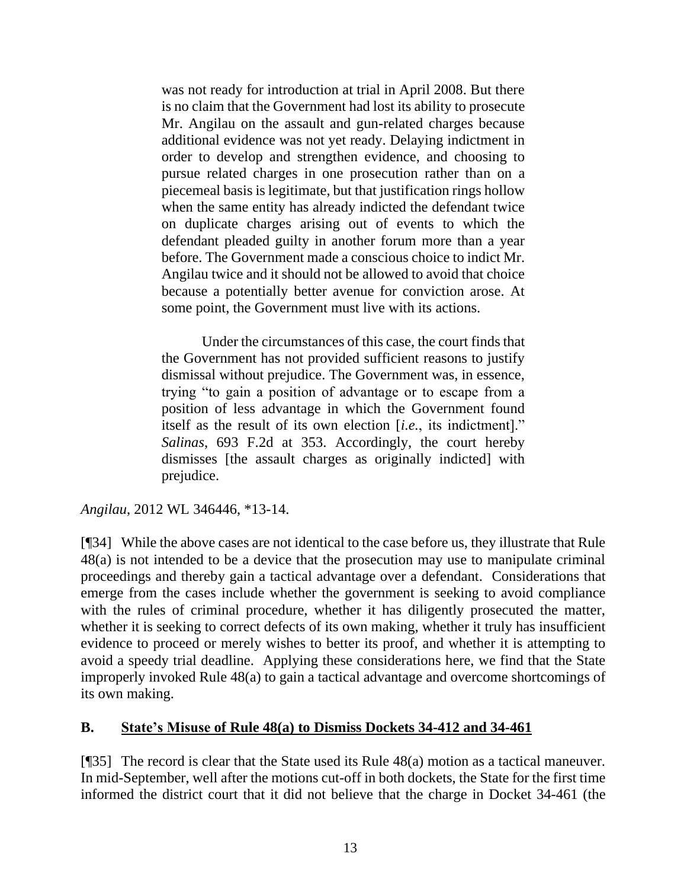was not ready for introduction at trial in April 2008. But there is no claim that the Government had lost its ability to prosecute Mr. Angilau on the assault and gun-related charges because additional evidence was not yet ready. Delaying indictment in order to develop and strengthen evidence, and choosing to pursue related charges in one prosecution rather than on a piecemeal basis is legitimate, but that justification rings hollow when the same entity has already indicted the defendant twice on duplicate charges arising out of events to which the defendant pleaded guilty in another forum more than a year before. The Government made a conscious choice to indict Mr. Angilau twice and it should not be allowed to avoid that choice because a potentially better avenue for conviction arose. At some point, the Government must live with its actions.

Under the circumstances of this case, the court finds that the Government has not provided sufficient reasons to justify dismissal without prejudice. The Government was, in essence, trying "to gain a position of advantage or to escape from a position of less advantage in which the Government found itself as the result of its own election [*i.e.*, its indictment]." *Salinas*[, 693 F.2d at 353.](http://www.westlaw.com/Link/Document/FullText?findType=Y&serNum=1982150495&pubNum=350&originatingDoc=I411e6e42507311e1968efb95426dbe9c&refType=RP&fi=co_pp_sp_350_353&originationContext=document&vr=3.0&rs=cblt1.0&transitionType=DocumentItem&contextData=(sc.UserEnteredCitation)#co_pp_sp_350_353) Accordingly, the court hereby dismisses [the assault charges as originally indicted] with prejudice.

*Angilau*, 2012 WL 346446, \*13-14.

[¶34] While the above cases are not identical to the case before us, they illustrate that Rule 48(a) is not intended to be a device that the prosecution may use to manipulate criminal proceedings and thereby gain a tactical advantage over a defendant. Considerations that emerge from the cases include whether the government is seeking to avoid compliance with the rules of criminal procedure, whether it has diligently prosecuted the matter, whether it is seeking to correct defects of its own making, whether it truly has insufficient evidence to proceed or merely wishes to better its proof, and whether it is attempting to avoid a speedy trial deadline. Applying these considerations here, we find that the State improperly invoked Rule 48(a) to gain a tactical advantage and overcome shortcomings of its own making.

## **B. State's Misuse of Rule 48(a) to Dismiss Dockets 34-412 and 34-461**

[¶35] The record is clear that the State used its Rule 48(a) motion as a tactical maneuver. In mid-September, well after the motions cut-off in both dockets, the State for the first time informed the district court that it did not believe that the charge in Docket 34-461 (the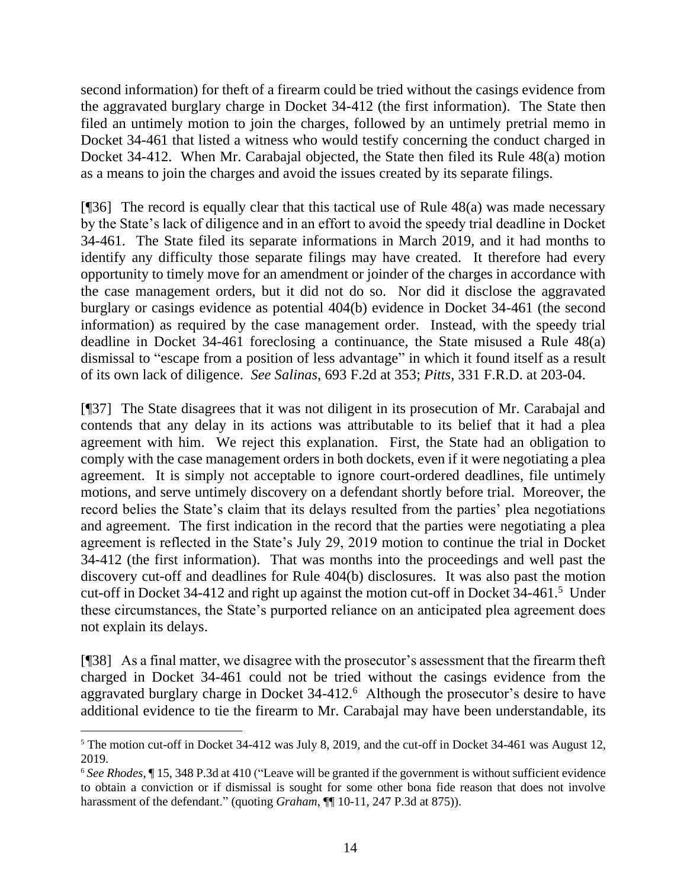second information) for theft of a firearm could be tried without the casings evidence from the aggravated burglary charge in Docket 34-412 (the first information). The State then filed an untimely motion to join the charges, followed by an untimely pretrial memo in Docket 34-461 that listed a witness who would testify concerning the conduct charged in Docket 34-412. When Mr. Carabajal objected, the State then filed its Rule 48(a) motion as a means to join the charges and avoid the issues created by its separate filings.

[¶36] The record is equally clear that this tactical use of Rule 48(a) was made necessary by the State's lack of diligence and in an effort to avoid the speedy trial deadline in Docket 34-461. The State filed its separate informations in March 2019, and it had months to identify any difficulty those separate filings may have created. It therefore had every opportunity to timely move for an amendment or joinder of the charges in accordance with the case management orders, but it did not do so. Nor did it disclose the aggravated burglary or casings evidence as potential 404(b) evidence in Docket 34-461 (the second information) as required by the case management order. Instead, with the speedy trial deadline in Docket 34-461 foreclosing a continuance, the State misused a Rule 48(a) dismissal to "escape from a position of less advantage" in which it found itself as a result of its own lack of diligence. *See Salinas*, 693 F.2d at 353; *Pitts*, 331 F.R.D. at 203-04.

[¶37] The State disagrees that it was not diligent in its prosecution of Mr. Carabajal and contends that any delay in its actions was attributable to its belief that it had a plea agreement with him. We reject this explanation. First, the State had an obligation to comply with the case management orders in both dockets, even if it were negotiating a plea agreement. It is simply not acceptable to ignore court-ordered deadlines, file untimely motions, and serve untimely discovery on a defendant shortly before trial. Moreover, the record belies the State's claim that its delays resulted from the parties' plea negotiations and agreement. The first indication in the record that the parties were negotiating a plea agreement is reflected in the State's July 29, 2019 motion to continue the trial in Docket 34-412 (the first information). That was months into the proceedings and well past the discovery cut-off and deadlines for Rule 404(b) disclosures. It was also past the motion cut-off in Docket 34-412 and right up against the motion cut-off in Docket 34-461.<sup>5</sup> Under these circumstances, the State's purported reliance on an anticipated plea agreement does not explain its delays.

[¶38] As a final matter, we disagree with the prosecutor's assessment that the firearm theft charged in Docket 34-461 could not be tried without the casings evidence from the aggravated burglary charge in Docket 34-412.<sup>6</sup> Although the prosecutor's desire to have additional evidence to tie the firearm to Mr. Carabajal may have been understandable, its

<sup>5</sup> The motion cut-off in Docket 34-412 was July 8, 2019, and the cut-off in Docket 34-461 was August 12, 2019.

<sup>6</sup> *See Rhodes*, ¶ 15, 348 P.3d at 410 ("Leave will be granted if the government is without sufficient evidence to obtain a conviction or if dismissal is sought for some other bona fide reason that does not involve harassment of the defendant." (quoting *Graham*, ¶ 10-11, 247 P.3d at 875)).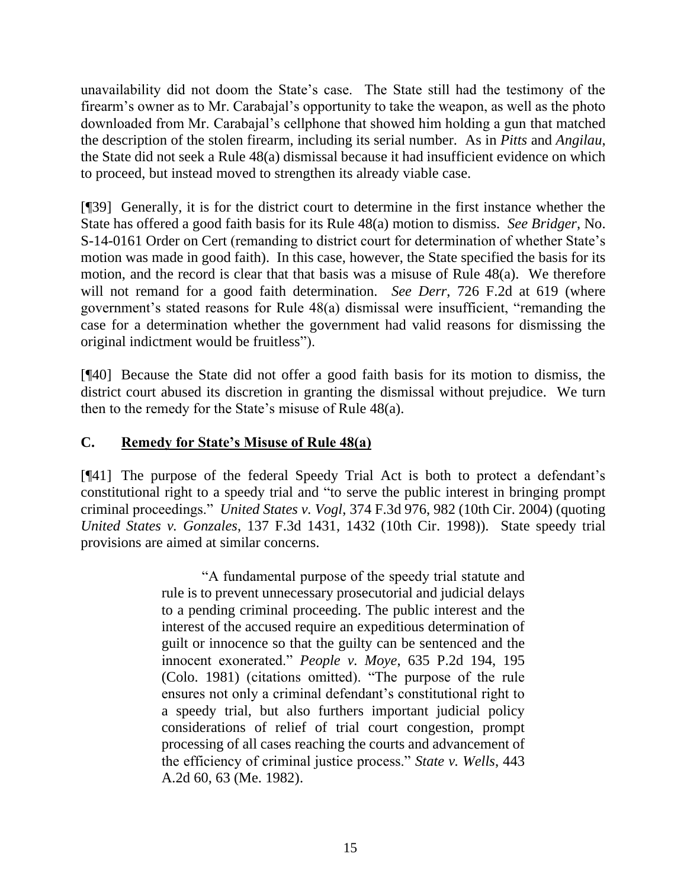unavailability did not doom the State's case. The State still had the testimony of the firearm's owner as to Mr. Carabajal's opportunity to take the weapon, as well as the photo downloaded from Mr. Carabajal's cellphone that showed him holding a gun that matched the description of the stolen firearm, including its serial number. As in *Pitts* and *Angilau*, the State did not seek a Rule 48(a) dismissal because it had insufficient evidence on which to proceed, but instead moved to strengthen its already viable case.

[¶39] Generally, it is for the district court to determine in the first instance whether the State has offered a good faith basis for its Rule 48(a) motion to dismiss. *See Bridger*, No. S-14-0161 Order on Cert (remanding to district court for determination of whether State's motion was made in good faith). In this case, however, the State specified the basis for its motion, and the record is clear that that basis was a misuse of Rule 48(a). We therefore will not remand for a good faith determination. *See Derr*, 726 F.2d at 619 (where government's stated reasons for Rule 48(a) dismissal were insufficient, "remanding the case for a determination whether the government had valid reasons for dismissing the original indictment would be fruitless").

[¶40] Because the State did not offer a good faith basis for its motion to dismiss, the district court abused its discretion in granting the dismissal without prejudice. We turn then to the remedy for the State's misuse of Rule 48(a).

## **C. Remedy for State's Misuse of Rule 48(a)**

[¶41] The purpose of the federal Speedy Trial Act is both to protect a defendant's constitutional right to a speedy trial and "to serve the public interest in bringing prompt criminal proceedings." *United States v. Vogl*, 374 F.3d 976, 982 (10th Cir. 2004) (quoting *United States v. Gonzales*, 137 F.3d 1431, 1432 (10th Cir. 1998)). State speedy trial provisions are aimed at similar concerns.

> "A fundamental purpose of the speedy trial statute and rule is to prevent unnecessary prosecutorial and judicial delays to a pending criminal proceeding. The public interest and the interest of the accused require an expeditious determination of guilt or innocence so that the guilty can be sentenced and the innocent exonerated." *People v. Moye*[, 635 P.2d 194, 195](http://www.westlaw.com/Link/Document/FullText?findType=Y&serNum=1981138928&pubNum=0000661&originatingDoc=I1319c8f09a6911e7a9cdf8f74902bf96&refType=RP&fi=co_pp_sp_661_195&originationContext=document&vr=3.0&rs=cblt1.0&transitionType=DocumentItem&contextData=(sc.Search)#co_pp_sp_661_195)  [\(Colo. 1981\)](http://www.westlaw.com/Link/Document/FullText?findType=Y&serNum=1981138928&pubNum=0000661&originatingDoc=I1319c8f09a6911e7a9cdf8f74902bf96&refType=RP&fi=co_pp_sp_661_195&originationContext=document&vr=3.0&rs=cblt1.0&transitionType=DocumentItem&contextData=(sc.Search)#co_pp_sp_661_195) (citations omitted). "The purpose of the rule ensures not only a criminal defendant's constitutional right to a speedy trial, but also furthers important judicial policy considerations of relief of trial court congestion, prompt processing of all cases reaching the courts and advancement of the efficiency of criminal justice process." *[State v. Wells](http://www.westlaw.com/Link/Document/FullText?findType=Y&serNum=1982115547&pubNum=0000162&originatingDoc=I1319c8f09a6911e7a9cdf8f74902bf96&refType=RP&fi=co_pp_sp_162_63&originationContext=document&vr=3.0&rs=cblt1.0&transitionType=DocumentItem&contextData=(sc.Search)#co_pp_sp_162_63)*, 443 [A.2d 60, 63 \(Me. 1982\).](http://www.westlaw.com/Link/Document/FullText?findType=Y&serNum=1982115547&pubNum=0000162&originatingDoc=I1319c8f09a6911e7a9cdf8f74902bf96&refType=RP&fi=co_pp_sp_162_63&originationContext=document&vr=3.0&rs=cblt1.0&transitionType=DocumentItem&contextData=(sc.Search)#co_pp_sp_162_63)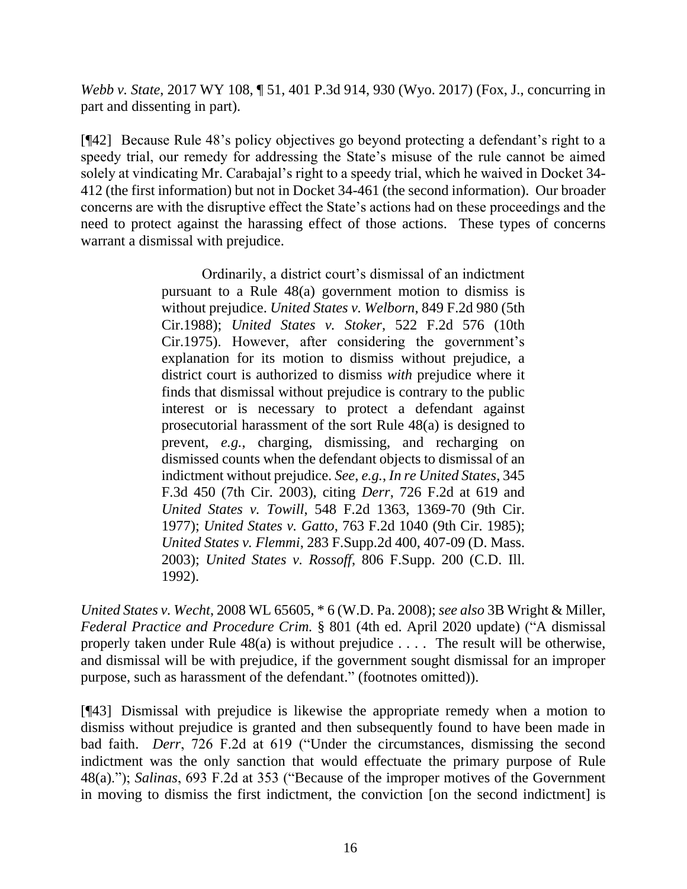*Webb v. State*, 2017 WY 108, ¶ 51, 401 P.3d 914, 930 (Wyo. 2017) (Fox, J., concurring in part and dissenting in part).

[¶42] Because Rule 48's policy objectives go beyond protecting a defendant's right to a speedy trial, our remedy for addressing the State's misuse of the rule cannot be aimed solely at vindicating Mr. Carabajal's right to a speedy trial, which he waived in Docket 34- 412 (the first information) but not in Docket 34-461 (the second information). Our broader concerns are with the disruptive effect the State's actions had on these proceedings and the need to protect against the harassing effect of those actions. These types of concerns warrant a dismissal with prejudice.

> Ordinarily, a district court's dismissal of an indictment pursuant to a [Rule 48\(a\)](http://www.westlaw.com/Link/Document/FullText?findType=L&pubNum=1004365&cite=USFRCRPR48&originatingDoc=I0a3e0465bde111dcbb72bbec4e175148&refType=LQ&originationContext=document&vr=3.0&rs=cblt1.0&transitionType=DocumentItem&contextData=(sc.Search)) government motion to dismiss is without prejudice. *[United States v. Welborn](http://www.westlaw.com/Link/Document/FullText?findType=Y&serNum=1988088557&pubNum=350&originatingDoc=I0a3e0465bde111dcbb72bbec4e175148&refType=RP&originationContext=document&vr=3.0&rs=cblt1.0&transitionType=DocumentItem&contextData=(sc.Search))*, 849 F.2d 980 (5th [Cir.1988\);](http://www.westlaw.com/Link/Document/FullText?findType=Y&serNum=1988088557&pubNum=350&originatingDoc=I0a3e0465bde111dcbb72bbec4e175148&refType=RP&originationContext=document&vr=3.0&rs=cblt1.0&transitionType=DocumentItem&contextData=(sc.Search)) *[United States v. Stoker](http://www.westlaw.com/Link/Document/FullText?findType=Y&serNum=1975141960&pubNum=350&originatingDoc=I0a3e0465bde111dcbb72bbec4e175148&refType=RP&originationContext=document&vr=3.0&rs=cblt1.0&transitionType=DocumentItem&contextData=(sc.Search))*, 522 F.2d 576 (10th [Cir.1975\).](http://www.westlaw.com/Link/Document/FullText?findType=Y&serNum=1975141960&pubNum=350&originatingDoc=I0a3e0465bde111dcbb72bbec4e175148&refType=RP&originationContext=document&vr=3.0&rs=cblt1.0&transitionType=DocumentItem&contextData=(sc.Search)) However, after considering the government's explanation for its motion to dismiss without prejudice, a district court is authorized to dismiss *with* prejudice where it finds that dismissal without prejudice is contrary to the public interest or is necessary to protect a defendant against prosecutorial harassment of the sort [Rule 48\(a\)](http://www.westlaw.com/Link/Document/FullText?findType=L&pubNum=1004365&cite=USFRCRPR48&originatingDoc=I0a3e0465bde111dcbb72bbec4e175148&refType=LQ&originationContext=document&vr=3.0&rs=cblt1.0&transitionType=DocumentItem&contextData=(sc.Search)) is designed to prevent, *e.g.*, charging, dismissing, and recharging on dismissed counts when the defendant objects to dismissal of an indictment without prejudice. *See*, *e.g.*, *In re United States*, 345 F.3d 450 (7th Cir. 2003), citing *Derr*, 726 F.2d at 619 and *United States v. Towill*, 548 F.2d 1363, 1369-70 (9th Cir. 1977); *United States v. Gatto*, 763 F.2d 1040 (9th Cir. 1985); *United States v. Flemmi*, 283 F.Supp.2d 400, 407-09 (D. Mass. 2003); *United States v. Rossoff*, 806 F.Supp. 200 (C.D. Ill. 1992).

*United States v. Wecht*, 2008 WL 65605, \* 6 (W.D. Pa. 2008); *see also* 3B Wright & Miller, *Federal Practice and Procedure Crim.* § 801 (4th ed. April 2020 update) ("A dismissal properly taken under [Rule 48\(a\)](http://www.westlaw.com/Link/Document/FullText?findType=L&pubNum=1000598&cite=USFRCRPR48&originatingDoc=I203c06fe89e211daa770e0a5cfef677e&refType=LQ&originationContext=document&vr=3.0&rs=cblt1.0&transitionType=DocumentItem&contextData=(sc.Category)) is without prejudice . . . . The result will be otherwise, and dismissal will be with prejudice, if the government sought dismissal for an improper purpose, such as harassment of the defendant." (footnotes omitted)).

[¶43] Dismissal with prejudice is likewise the appropriate remedy when a motion to dismiss without prejudice is granted and then subsequently found to have been made in bad faith. *Derr*, 726 F.2d at 619 ("Under the circumstances, dismissing the second indictment was the only sanction that would effectuate the primary purpose of [Rule](http://www.westlaw.com/Link/Document/FullText?findType=L&pubNum=1000598&cite=USFRCRPR48&originatingDoc=I05679190944811d9bc61beebb95be672&refType=RB&originationContext=document&vr=3.0&rs=cblt1.0&transitionType=DocumentItem&contextData=(sc.Keycite)#co_pp_8b3b0000958a4)  [48\(a\).](http://www.westlaw.com/Link/Document/FullText?findType=L&pubNum=1000598&cite=USFRCRPR48&originatingDoc=I05679190944811d9bc61beebb95be672&refType=RB&originationContext=document&vr=3.0&rs=cblt1.0&transitionType=DocumentItem&contextData=(sc.Keycite)#co_pp_8b3b0000958a4)"); *Salinas*, 693 F.2d at 353 ("Because of the improper motives of the Government in moving to dismiss the first indictment, the conviction [on the second indictment] is